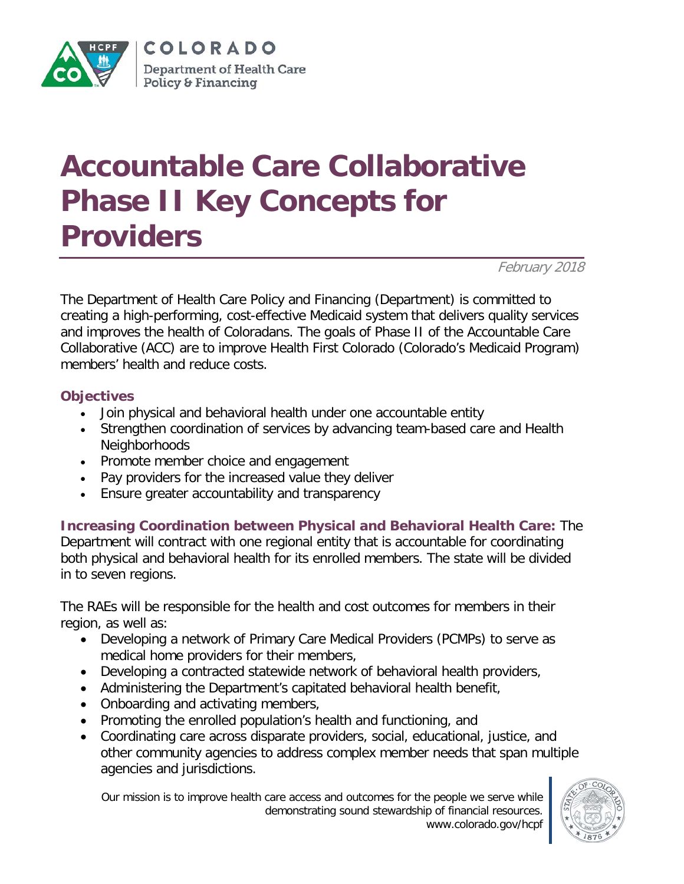

## **Accountable Care Collaborative Phase II Key Concepts for Providers**

February 2018

The Department of Health Care Policy and Financing (Department) is committed to creating a high-performing, cost-effective Medicaid system that delivers quality services and improves the health of Coloradans. The goals of Phase II of the Accountable Care Collaborative (ACC) are to improve Health First Colorado (Colorado's Medicaid Program) members' health and reduce costs.

## **Objectives**

- Join physical and behavioral health under one accountable entity
- Strengthen coordination of services by advancing team-based care and Health Neighborhoods
- Promote member choice and engagement
- Pay providers for the increased value they deliver
- Ensure greater accountability and transparency

**Increasing Coordination between Physical and Behavioral Health Care:** The Department will contract with one regional entity that is accountable for coordinating both physical and behavioral health for its enrolled members. The state will be divided in to seven regions.

The RAEs will be responsible for the health and cost outcomes for members in their region, as well as:

- Developing a network of Primary Care Medical Providers (PCMPs) to serve as medical home providers for their members,
- Developing a contracted statewide network of behavioral health providers,
- Administering the Department's capitated behavioral health benefit,
- Onboarding and activating members,
- Promoting the enrolled population's health and functioning, and
- Coordinating care across disparate providers, social, educational, justice, and other community agencies to address complex member needs that span multiple agencies and jurisdictions.

Our mission is to improve health care access and outcomes for the people we serve while demonstrating sound stewardship of financial resources. www.colorado.gov/hcpf

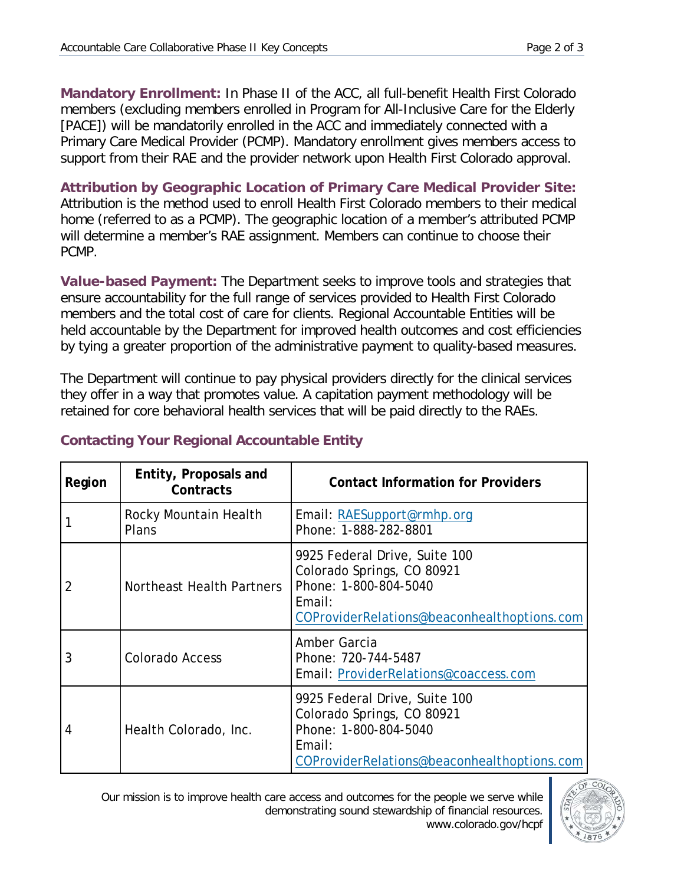**Mandatory Enrollment:** In Phase II of the ACC, all full-benefit Health First Colorado members (excluding members enrolled in Program for All-Inclusive Care for the Elderly [PACE]) will be mandatorily enrolled in the ACC and immediately connected with a Primary Care Medical Provider (PCMP). Mandatory enrollment gives members access to support from their RAE and the provider network upon Health First Colorado approval.

**Attribution by Geographic Location of Primary Care Medical Provider Site:** Attribution is the method used to enroll Health First Colorado members to their medical home (referred to as a PCMP). The geographic location of a member's attributed PCMP will determine a member's RAE assignment. Members can continue to choose their PCMP.

**Value-based Payment:** The Department seeks to improve tools and strategies that ensure accountability for the full range of services provided to Health First Colorado members and the total cost of care for clients. Regional Accountable Entities will be held accountable by the Department for improved health outcomes and cost efficiencies by tying a greater proportion of the administrative payment to quality-based measures.

The Department will continue to pay physical providers directly for the clinical services they offer in a way that promotes value. A capitation payment methodology will be retained for core behavioral health services that will be paid directly to the RAEs.

| Region | Entity, Proposals and<br>Contracts | <b>Contact Information for Providers</b>                                                                                                      |
|--------|------------------------------------|-----------------------------------------------------------------------------------------------------------------------------------------------|
|        | Rocky Mountain Health<br>Plans     | Email: RAESupport@rmhp.org<br>Phone: 1-888-282-8801                                                                                           |
| 2      | Northeast Health Partners          | 9925 Federal Drive, Suite 100<br>Colorado Springs, CO 80921<br>Phone: 1-800-804-5040<br>Email:<br>COProviderRelations@beaconhealthoptions.com |
| 3      | <b>Colorado Access</b>             | Amber Garcia<br>Phone: 720-744-5487<br>Email: ProviderRelations@coaccess.com                                                                  |
| 4      | Health Colorado, Inc.              | 9925 Federal Drive, Suite 100<br>Colorado Springs, CO 80921<br>Phone: 1-800-804-5040<br>Email:<br>COProviderRelations@beaconhealthoptions.com |

## **Contacting Your Regional Accountable Entity**

Our mission is to improve health care access and outcomes for the people we serve while demonstrating sound stewardship of financial resources. www.colorado.gov/hcpf